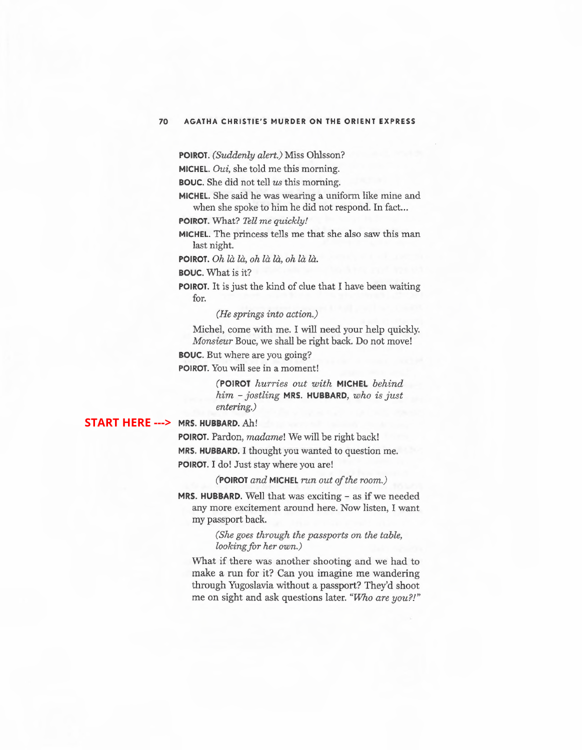**POIROT.** *(Suddenly alert.)* Miss Ohlsson?

**MICHEL.** *Oui,* she told me this morning.

**BOUC.** She did not tell *us* this morning.

**MICHEL.** She said he was wearing a uniform like mine and when she spoke to him he did not respond. In fact...

**POIROT.** What? *Tell me quickly!* 

**MICHEL.** The princess tells me that she also saw this man last night.

**POIROT.** *Oh la la, oh la la, oh la la.* 

**BOUC.** What is it?

**POIROT.** It is just the kind of clue that I have been waiting for.

*(He springs into action.)* 

Michel, come with me. I will need your help quickly. *Monsieur* Bouc, we shall be right back. Do not move!

**BOUC.** But where are you going?

**POIROT.** You will see in a moment!

**(POIROT** *hurries out with* **MICHEL** *behind him - jostling* **MRS. HUBBARD,** *who is just entering.)* 

## **MRS. HUBBARD.** Ah! **START HERE --->**

**POIROT.** Pardon, *madame!* We will be right back! **MRS. HUBBARD.** I thought you wanted to question me. **POIROT.** I do! Just stay where you are!

**(POIROT** *and* **MICHEL** *run out of the room.)* 

**MRS. HUBBARD.** Well that was exciting - as if we needed any more excitement around here. Now listen, I want my passport back.

*(She goes through the passports on the table, lookingfor her own.)* 

What if there was another shooting and we had to make a run for it? Can you imagine me wandering through Yugoslavia without a passport? They'd shoot me on sight and ask questions later. *"Who are you?!"*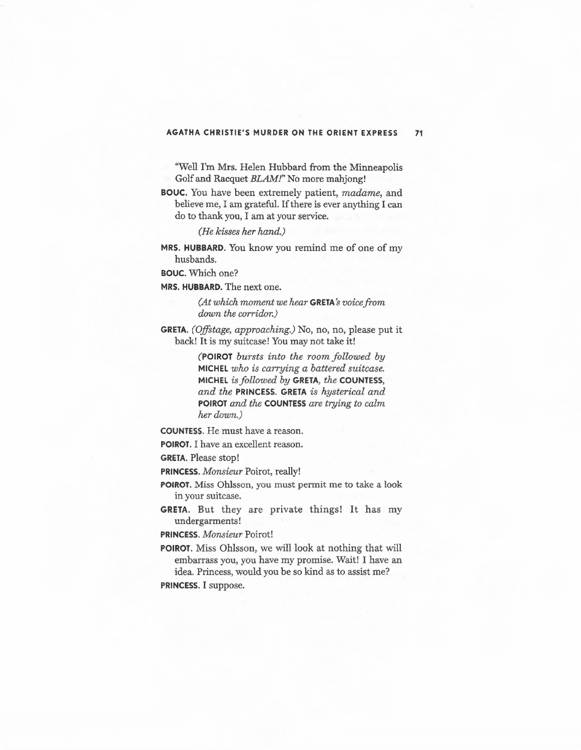## **AGATHA CHRISTIE'S MURDER ON THE ORIENT EXPRESS 71**

"Well I'm Mrs. Helen Hubbard from the Minneapolis Golf and Racquet *BLAM!"* No more mahjong!

**BOUC.** You have been extremely patient, *madame,* and believe me, I am grateful. If there is ever anything I can do to thank you, I am at your service.

*(He kisses her hand.)* 

**MRS. HUBBARD.** You know you remind me of one of my husbands.

**BOUC.** Which one?

**MRS. HUBBARD.** The next one.

*(At which moment we hear* **GRETA~** *voice from down the corridor.)* 

**GRETA.** *(Offstage, approaching.)* No, no, no, please put it back! It is my suitcase! You may not take it!

> **(POIROT** *bursts into the room followed by*  **MICHEL** *who is carrying a battered suitcase.*  **MICHEL** *is followed by* **GRETA,** *the* **COUNTESS,**  *and the* **PRINCESS. GRETA** *is hysterical and*  **POIROT** *and the* **COUNTESS** *are trying to calm her down.)*

**COUNTESS.** He must have a reason.

**POIROT.** I have an excellent reason.

**GRETA.** Please stop!

**PRINCESS.** *Monsieur* Poirot, really!

- **POIROT.** Miss Ohlsson, you must permit me to take a look in your suitcase.
- **GRETA.** But they are private things! It has my undergarments!

**PRINCESS.** *Monsieur* Poirot!

**POIROT.** Miss Ohlsson, we will look at nothing that will embarrass you, you have my promise. Wait! I have an idea. Princess, would you be so kind as to assist me?

**PRINCESS.** I suppose.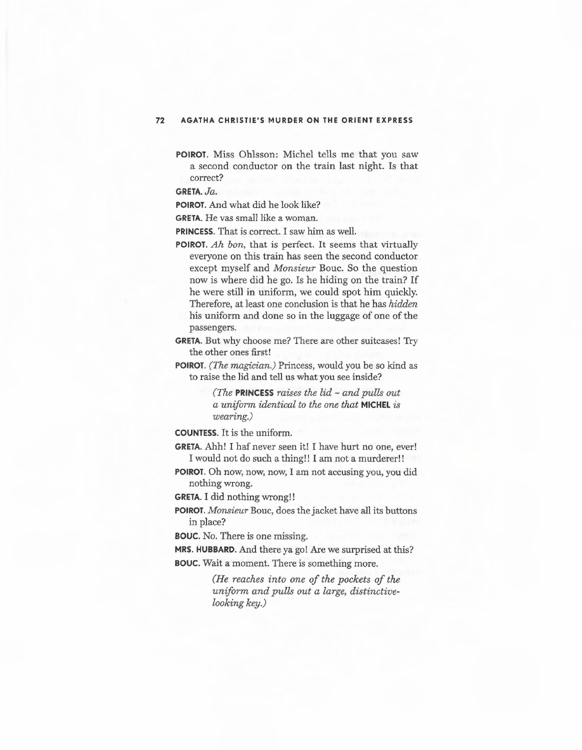**POIROT.** Miss Ohlsson: Michel tells me that you saw a second conductor on the train last night. Is that correct?

**GRETA.Ja.** 

**POIROT.** And what did he look like?

**GRETA.** He vas small like a woman.

**PRINCESS.** That is correct. I saw him as well.

- **POIROT.** *Ah* bon, that is perfect. It seems that virtually everyone on this train has seen the second conductor except myself and *Monsieur* Bouc. So the question now is where did he go. Is he hiding on the train? If he were still in uniform, we could spot him quickly. Therefore, at least one conclusion is that he has *hidden*  his uniform and done so in the luggage of one of the passengers.
- **GRETA.** But why choose me? There are other suitcases! Try the other ones first!
- **POIROT.** *(The* magician.) Princess, would you be so kind as to raise the lid and tell us what you see inside?

*(The* **PRINCESS** *raises the lid - and pulls out a uniform identical to the one that* **MICHEL** *is wearing.)* 

**COUNTESS.** It is the uniform.

**GRETA.** Ahh! I haf never seen it! I have hurt no one, ever! I would not do such a thing!! I am not a murderer!!

**POIROT.** Oh now, now, now, I am not accusing you, you did nothing wrong.

**GRETA.** I did nothing wrong!!

**POIROT.** *Monsieur* Bouc, does the jacket have all its buttons in place?

**BOUC.** No. There is one missing.

**MRS. HUBBARD.** And there ya go! Are we surprised at this? **BOUC.** Wait a moment. There is something more.

> *(He reaches into one of the pockets of the uniform and* pulls *out a large, distinctivelooking key.)*